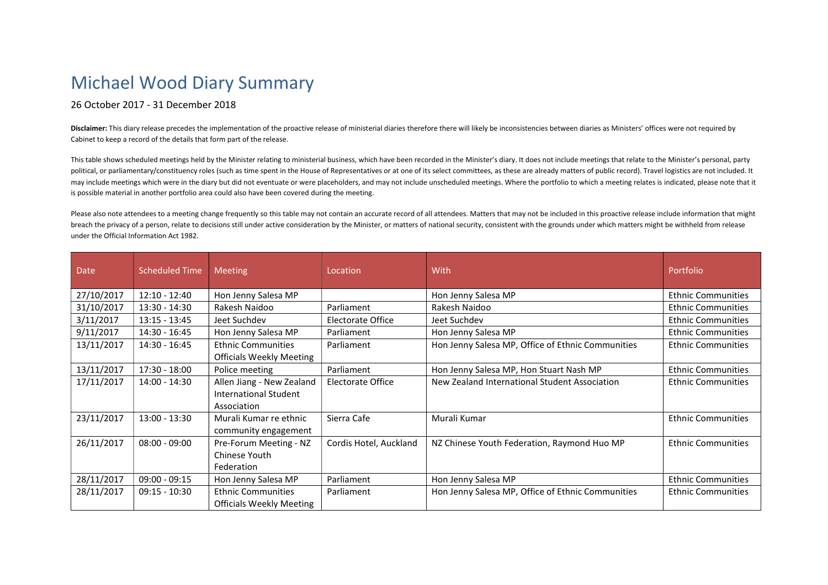## Michael Wood Diary Summary

## 26 October 2017 - 31 December 2018

Disclaimer: This diary release precedes the implementation of the proactive release of ministerial diaries therefore there will likely be inconsistencies between diaries as Ministers' offices were not required by Cabinet to keep a record of the details that form part of the release.

This table shows scheduled meetings held by the Minister relating to ministerial business, which have been recorded in the Minister's diary. It does not include meetings that relate to the Minister's personal, party political, or parliamentary/constituency roles (such as time spent in the House of Representatives or at one of its select committees, as these are already matters of public record). Travel logistics are not included. It may include meetings which were in the diary but did not eventuate or were placeholders, and may not include unscheduled meetings. Where the portfolio to which a meeting relates is indicated, please note that it is possible material in another portfolio area could also have been covered during the meeting.

Please also note attendees to a meeting change frequently so this table may not contain an accurate record of all attendees. Matters that may not be included in this proactive release include information that might breach the privacy of a person, relate to decisions still under active consideration by the Minister, or matters of national security, consistent with the grounds under which matters might be withheld from release under the Official Information Act 1982.

| <b>Date</b> | <b>Scheduled Time</b> | <b>Meeting</b>                  | Location                 | With                                              | Portfolio                 |
|-------------|-----------------------|---------------------------------|--------------------------|---------------------------------------------------|---------------------------|
| 27/10/2017  | $12:10 - 12:40$       | Hon Jenny Salesa MP             |                          | Hon Jenny Salesa MP                               | <b>Ethnic Communities</b> |
| 31/10/2017  | $13:30 - 14:30$       | Rakesh Naidoo                   | Parliament               | Rakesh Naidoo                                     | <b>Ethnic Communities</b> |
| 3/11/2017   | $13:15 - 13:45$       | Jeet Suchdev                    | Electorate Office        | Jeet Suchdev                                      | <b>Ethnic Communities</b> |
| 9/11/2017   | 14:30 - 16:45         | Hon Jenny Salesa MP             | Parliament               | Hon Jenny Salesa MP                               | <b>Ethnic Communities</b> |
| 13/11/2017  | 14:30 - 16:45         | <b>Ethnic Communities</b>       | Parliament               | Hon Jenny Salesa MP, Office of Ethnic Communities | <b>Ethnic Communities</b> |
|             |                       | <b>Officials Weekly Meeting</b> |                          |                                                   |                           |
| 13/11/2017  | 17:30 - 18:00         | Police meeting                  | Parliament               | Hon Jenny Salesa MP, Hon Stuart Nash MP           | <b>Ethnic Communities</b> |
| 17/11/2017  | 14:00 - 14:30         | Allen Jiang - New Zealand       | <b>Electorate Office</b> | New Zealand International Student Association     | <b>Ethnic Communities</b> |
|             |                       | International Student           |                          |                                                   |                           |
|             |                       | Association                     |                          |                                                   |                           |
| 23/11/2017  | 13:00 - 13:30         | Murali Kumar re ethnic          | Sierra Cafe              | Murali Kumar                                      | <b>Ethnic Communities</b> |
|             |                       | community engagement            |                          |                                                   |                           |
| 26/11/2017  | $08:00 - 09:00$       | Pre-Forum Meeting - NZ          | Cordis Hotel, Auckland   | NZ Chinese Youth Federation, Raymond Huo MP       | <b>Ethnic Communities</b> |
|             |                       | Chinese Youth                   |                          |                                                   |                           |
|             |                       | Federation                      |                          |                                                   |                           |
| 28/11/2017  | $09:00 - 09:15$       | Hon Jenny Salesa MP             | Parliament               | Hon Jenny Salesa MP                               | <b>Ethnic Communities</b> |
| 28/11/2017  | $09:15 - 10:30$       | <b>Ethnic Communities</b>       | Parliament               | Hon Jenny Salesa MP, Office of Ethnic Communities | <b>Ethnic Communities</b> |
|             |                       | <b>Officials Weekly Meeting</b> |                          |                                                   |                           |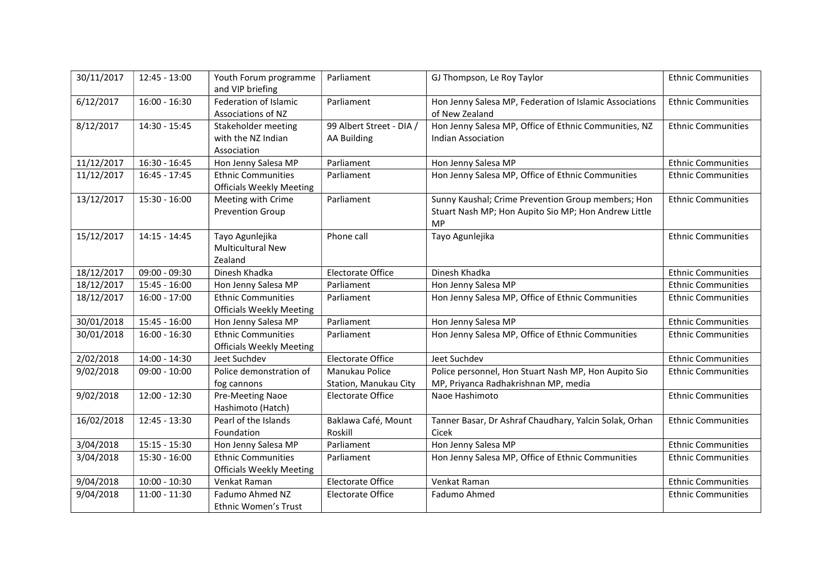| 30/11/2017 | 12:45 - 13:00   | Youth Forum programme<br>and VIP briefing                    | Parliament                                     | GJ Thompson, Le Roy Taylor                                                                                              | <b>Ethnic Communities</b> |
|------------|-----------------|--------------------------------------------------------------|------------------------------------------------|-------------------------------------------------------------------------------------------------------------------------|---------------------------|
| 6/12/2017  | $16:00 - 16:30$ | Federation of Islamic<br>Associations of NZ                  | Parliament                                     | Hon Jenny Salesa MP, Federation of Islamic Associations<br>of New Zealand                                               | <b>Ethnic Communities</b> |
| 8/12/2017  | 14:30 - 15:45   | Stakeholder meeting<br>with the NZ Indian<br>Association     | 99 Albert Street - DIA /<br><b>AA Building</b> | Hon Jenny Salesa MP, Office of Ethnic Communities, NZ<br><b>Indian Association</b>                                      | <b>Ethnic Communities</b> |
| 11/12/2017 | $16:30 - 16:45$ | Hon Jenny Salesa MP                                          | Parliament                                     | Hon Jenny Salesa MP                                                                                                     | <b>Ethnic Communities</b> |
| 11/12/2017 | $16:45 - 17:45$ | <b>Ethnic Communities</b><br><b>Officials Weekly Meeting</b> | Parliament                                     | Hon Jenny Salesa MP, Office of Ethnic Communities                                                                       | <b>Ethnic Communities</b> |
| 13/12/2017 | 15:30 - 16:00   | Meeting with Crime<br><b>Prevention Group</b>                | Parliament                                     | Sunny Kaushal; Crime Prevention Group members; Hon<br>Stuart Nash MP; Hon Aupito Sio MP; Hon Andrew Little<br><b>MP</b> | <b>Ethnic Communities</b> |
| 15/12/2017 | $14:15 - 14:45$ | Tayo Agunlejika<br><b>Multicultural New</b><br>Zealand       | Phone call                                     | Tayo Agunlejika                                                                                                         | <b>Ethnic Communities</b> |
| 18/12/2017 | $09:00 - 09:30$ | Dinesh Khadka                                                | <b>Electorate Office</b>                       | Dinesh Khadka                                                                                                           | <b>Ethnic Communities</b> |
| 18/12/2017 | $15:45 - 16:00$ | Hon Jenny Salesa MP                                          | Parliament                                     | Hon Jenny Salesa MP                                                                                                     | <b>Ethnic Communities</b> |
| 18/12/2017 | $16:00 - 17:00$ | <b>Ethnic Communities</b><br><b>Officials Weekly Meeting</b> | Parliament                                     | Hon Jenny Salesa MP, Office of Ethnic Communities                                                                       | <b>Ethnic Communities</b> |
| 30/01/2018 | $15:45 - 16:00$ | Hon Jenny Salesa MP                                          | Parliament                                     | Hon Jenny Salesa MP                                                                                                     | <b>Ethnic Communities</b> |
| 30/01/2018 | $16:00 - 16:30$ | <b>Ethnic Communities</b><br><b>Officials Weekly Meeting</b> | Parliament                                     | Hon Jenny Salesa MP, Office of Ethnic Communities                                                                       | <b>Ethnic Communities</b> |
| 2/02/2018  | 14:00 - 14:30   | Jeet Suchdev                                                 | <b>Electorate Office</b>                       | Jeet Suchdev                                                                                                            | <b>Ethnic Communities</b> |
| 9/02/2018  | $09:00 - 10:00$ | Police demonstration of<br>fog cannons                       | Manukau Police<br>Station, Manukau City        | Police personnel, Hon Stuart Nash MP, Hon Aupito Sio<br>MP, Priyanca Radhakrishnan MP, media                            | <b>Ethnic Communities</b> |
| 9/02/2018  | $12:00 - 12:30$ | Pre-Meeting Naoe<br>Hashimoto (Hatch)                        | <b>Electorate Office</b>                       | Naoe Hashimoto                                                                                                          | <b>Ethnic Communities</b> |
| 16/02/2018 | 12:45 - 13:30   | Pearl of the Islands<br>Foundation                           | Baklawa Café, Mount<br>Roskill                 | Tanner Basar, Dr Ashraf Chaudhary, Yalcin Solak, Orhan<br>Cicek                                                         | <b>Ethnic Communities</b> |
| 3/04/2018  | $15:15 - 15:30$ | Hon Jenny Salesa MP                                          | Parliament                                     | Hon Jenny Salesa MP                                                                                                     | <b>Ethnic Communities</b> |
| 3/04/2018  | $15:30 - 16:00$ | <b>Ethnic Communities</b><br><b>Officials Weekly Meeting</b> | Parliament                                     | Hon Jenny Salesa MP, Office of Ethnic Communities                                                                       | <b>Ethnic Communities</b> |
| 9/04/2018  | $10:00 - 10:30$ | Venkat Raman                                                 | <b>Electorate Office</b>                       | Venkat Raman                                                                                                            | <b>Ethnic Communities</b> |
| 9/04/2018  | $11:00 - 11:30$ | Fadumo Ahmed NZ<br>Ethnic Women's Trust                      | <b>Electorate Office</b>                       | Fadumo Ahmed                                                                                                            | <b>Ethnic Communities</b> |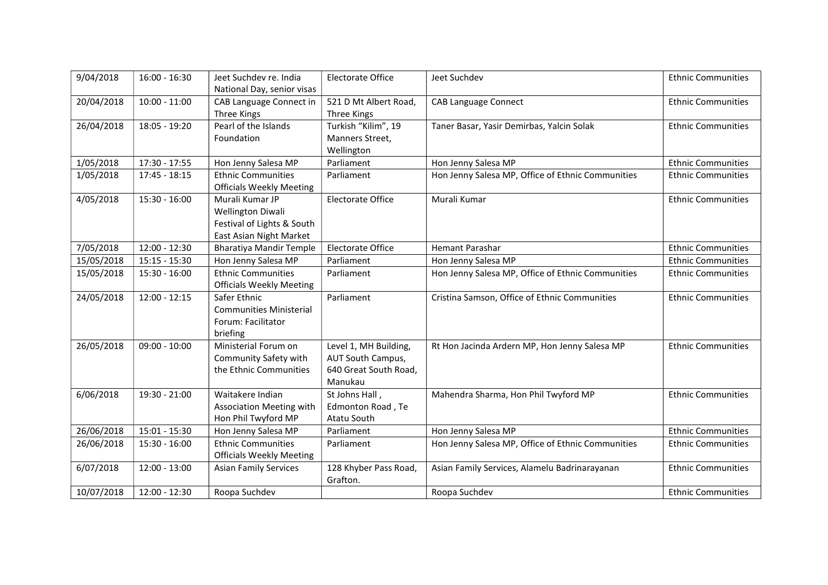| 9/04/2018  | 16:00 - 16:30   | Jeet Suchdev re. India          | <b>Electorate Office</b> | Jeet Suchdev                                      | <b>Ethnic Communities</b> |
|------------|-----------------|---------------------------------|--------------------------|---------------------------------------------------|---------------------------|
|            |                 | National Day, senior visas      |                          |                                                   |                           |
| 20/04/2018 | $10:00 - 11:00$ | CAB Language Connect in         | 521 D Mt Albert Road,    | <b>CAB Language Connect</b>                       | <b>Ethnic Communities</b> |
|            |                 | Three Kings                     | Three Kings              |                                                   |                           |
| 26/04/2018 | 18:05 - 19:20   | Pearl of the Islands            | Turkish "Kilim", 19      | Taner Basar, Yasir Demirbas, Yalcin Solak         | <b>Ethnic Communities</b> |
|            |                 | Foundation                      | Manners Street,          |                                                   |                           |
|            |                 |                                 | Wellington               |                                                   |                           |
| 1/05/2018  | 17:30 - 17:55   | Hon Jenny Salesa MP             | Parliament               | Hon Jenny Salesa MP                               | <b>Ethnic Communities</b> |
| 1/05/2018  | $17:45 - 18:15$ | <b>Ethnic Communities</b>       | Parliament               | Hon Jenny Salesa MP, Office of Ethnic Communities | <b>Ethnic Communities</b> |
|            |                 | <b>Officials Weekly Meeting</b> |                          |                                                   |                           |
| 4/05/2018  | $15:30 - 16:00$ | Murali Kumar JP                 | <b>Electorate Office</b> | Murali Kumar                                      | <b>Ethnic Communities</b> |
|            |                 | <b>Wellington Diwali</b>        |                          |                                                   |                           |
|            |                 | Festival of Lights & South      |                          |                                                   |                           |
|            |                 | East Asian Night Market         |                          |                                                   |                           |
| 7/05/2018  | $12:00 - 12:30$ | <b>Bharatiya Mandir Temple</b>  | <b>Electorate Office</b> | <b>Hemant Parashar</b>                            | <b>Ethnic Communities</b> |
| 15/05/2018 | $15:15 - 15:30$ | Hon Jenny Salesa MP             | Parliament               | Hon Jenny Salesa MP                               | <b>Ethnic Communities</b> |
| 15/05/2018 | 15:30 - 16:00   | <b>Ethnic Communities</b>       | Parliament               | Hon Jenny Salesa MP, Office of Ethnic Communities | <b>Ethnic Communities</b> |
|            |                 | <b>Officials Weekly Meeting</b> |                          |                                                   |                           |
| 24/05/2018 | $12:00 - 12:15$ | Safer Ethnic                    | Parliament               | Cristina Samson, Office of Ethnic Communities     | <b>Ethnic Communities</b> |
|            |                 | <b>Communities Ministerial</b>  |                          |                                                   |                           |
|            |                 | Forum: Facilitator              |                          |                                                   |                           |
|            |                 | briefing                        |                          |                                                   |                           |
| 26/05/2018 | $09:00 - 10:00$ | Ministerial Forum on            | Level 1, MH Building,    | Rt Hon Jacinda Ardern MP, Hon Jenny Salesa MP     | <b>Ethnic Communities</b> |
|            |                 | Community Safety with           | AUT South Campus,        |                                                   |                           |
|            |                 | the Ethnic Communities          | 640 Great South Road,    |                                                   |                           |
|            |                 |                                 | Manukau                  |                                                   |                           |
| 6/06/2018  | 19:30 - 21:00   | Waitakere Indian                | St Johns Hall,           | Mahendra Sharma, Hon Phil Twyford MP              | <b>Ethnic Communities</b> |
|            |                 | Association Meeting with        | Edmonton Road, Te        |                                                   |                           |
|            |                 | Hon Phil Twyford MP             | Atatu South              |                                                   |                           |
| 26/06/2018 | $15:01 - 15:30$ | Hon Jenny Salesa MP             | Parliament               | Hon Jenny Salesa MP                               | <b>Ethnic Communities</b> |
| 26/06/2018 | $15:30 - 16:00$ | <b>Ethnic Communities</b>       | Parliament               | Hon Jenny Salesa MP, Office of Ethnic Communities | <b>Ethnic Communities</b> |
|            |                 | <b>Officials Weekly Meeting</b> |                          |                                                   |                           |
| 6/07/2018  | 12:00 - 13:00   | <b>Asian Family Services</b>    | 128 Khyber Pass Road,    | Asian Family Services, Alamelu Badrinarayanan     | <b>Ethnic Communities</b> |
|            |                 |                                 | Grafton.                 |                                                   |                           |
| 10/07/2018 | 12:00 - 12:30   | Roopa Suchdev                   |                          | Roopa Suchdev                                     | <b>Ethnic Communities</b> |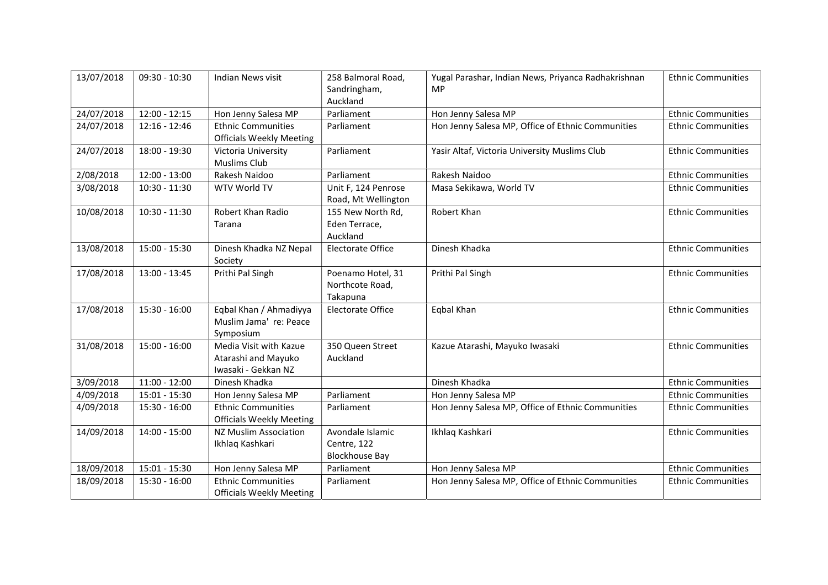| 13/07/2018 | $09:30 - 10:30$ | Indian News visit                                                    | 258 Balmoral Road,<br>Sandringham,<br>Auckland           | Yugal Parashar, Indian News, Priyanca Radhakrishnan<br>MP | <b>Ethnic Communities</b> |
|------------|-----------------|----------------------------------------------------------------------|----------------------------------------------------------|-----------------------------------------------------------|---------------------------|
| 24/07/2018 | 12:00 - 12:15   | Hon Jenny Salesa MP                                                  | Parliament                                               | Hon Jenny Salesa MP                                       | <b>Ethnic Communities</b> |
| 24/07/2018 | $12:16 - 12:46$ | <b>Ethnic Communities</b><br><b>Officials Weekly Meeting</b>         | Parliament                                               | Hon Jenny Salesa MP, Office of Ethnic Communities         | <b>Ethnic Communities</b> |
| 24/07/2018 | 18:00 - 19:30   | Victoria University<br>Muslims Club                                  | Parliament                                               | Yasir Altaf, Victoria University Muslims Club             | <b>Ethnic Communities</b> |
| 2/08/2018  | $12:00 - 13:00$ | Rakesh Naidoo                                                        | Parliament                                               | Rakesh Naidoo                                             | <b>Ethnic Communities</b> |
| 3/08/2018  | $10:30 - 11:30$ | WTV World TV                                                         | Unit F, 124 Penrose<br>Road, Mt Wellington               | Masa Sekikawa, World TV                                   | <b>Ethnic Communities</b> |
| 10/08/2018 | $10:30 - 11:30$ | Robert Khan Radio<br>Tarana                                          | 155 New North Rd,<br>Eden Terrace,<br>Auckland           | Robert Khan                                               | <b>Ethnic Communities</b> |
| 13/08/2018 | 15:00 - 15:30   | Dinesh Khadka NZ Nepal<br>Society                                    | <b>Electorate Office</b>                                 | Dinesh Khadka                                             | <b>Ethnic Communities</b> |
| 17/08/2018 | 13:00 - 13:45   | Prithi Pal Singh                                                     | Poenamo Hotel, 31<br>Northcote Road,<br>Takapuna         | Prithi Pal Singh                                          | <b>Ethnic Communities</b> |
| 17/08/2018 | $15:30 - 16:00$ | Eqbal Khan / Ahmadiyya<br>Muslim Jama' re: Peace<br>Symposium        | <b>Electorate Office</b>                                 | Eqbal Khan                                                | <b>Ethnic Communities</b> |
| 31/08/2018 | $15:00 - 16:00$ | Media Visit with Kazue<br>Atarashi and Mayuko<br>Iwasaki - Gekkan NZ | 350 Queen Street<br>Auckland                             | Kazue Atarashi, Mayuko Iwasaki                            | <b>Ethnic Communities</b> |
| 3/09/2018  | $11:00 - 12:00$ | Dinesh Khadka                                                        |                                                          | Dinesh Khadka                                             | <b>Ethnic Communities</b> |
| 4/09/2018  | $15:01 - 15:30$ | Hon Jenny Salesa MP                                                  | Parliament                                               | Hon Jenny Salesa MP                                       | <b>Ethnic Communities</b> |
| 4/09/2018  | $15:30 - 16:00$ | <b>Ethnic Communities</b><br><b>Officials Weekly Meeting</b>         | Parliament                                               | Hon Jenny Salesa MP, Office of Ethnic Communities         | <b>Ethnic Communities</b> |
| 14/09/2018 | $14:00 - 15:00$ | NZ Muslim Association<br>Ikhlaq Kashkari                             | Avondale Islamic<br>Centre, 122<br><b>Blockhouse Bay</b> | Ikhlaq Kashkari                                           | <b>Ethnic Communities</b> |
| 18/09/2018 | $15:01 - 15:30$ | Hon Jenny Salesa MP                                                  | Parliament                                               | Hon Jenny Salesa MP                                       | <b>Ethnic Communities</b> |
| 18/09/2018 | 15:30 - 16:00   | <b>Ethnic Communities</b><br><b>Officials Weekly Meeting</b>         | Parliament                                               | Hon Jenny Salesa MP, Office of Ethnic Communities         | <b>Ethnic Communities</b> |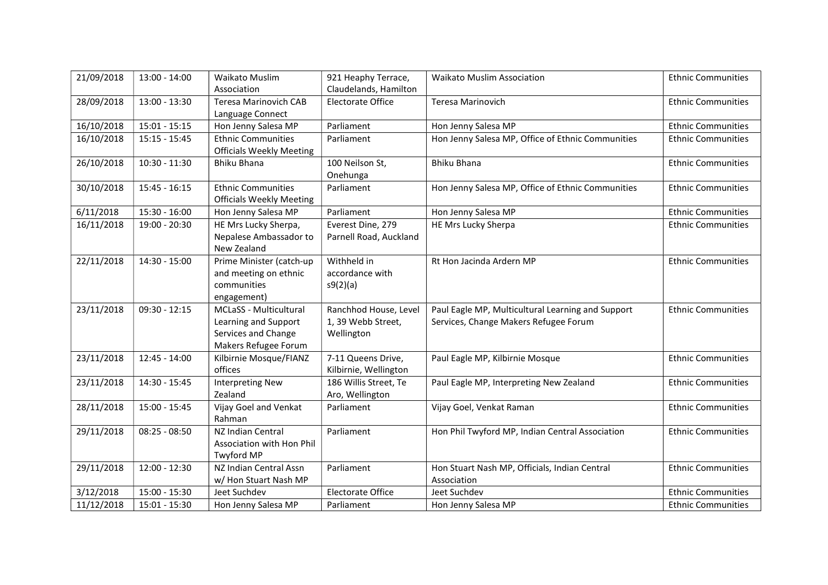| 21/09/2018 | $13:00 - 14:00$ | Waikato Muslim                  | 921 Heaphy Terrace,      | <b>Waikato Muslim Association</b>                 | <b>Ethnic Communities</b> |
|------------|-----------------|---------------------------------|--------------------------|---------------------------------------------------|---------------------------|
|            |                 | Association                     | Claudelands, Hamilton    |                                                   |                           |
| 28/09/2018 | 13:00 - 13:30   | <b>Teresa Marinovich CAB</b>    | <b>Electorate Office</b> | Teresa Marinovich                                 | <b>Ethnic Communities</b> |
|            |                 | Language Connect                |                          |                                                   |                           |
| 16/10/2018 | $15:01 - 15:15$ | Hon Jenny Salesa MP             | Parliament               | Hon Jenny Salesa MP                               | <b>Ethnic Communities</b> |
| 16/10/2018 | $15:15 - 15:45$ | <b>Ethnic Communities</b>       | Parliament               | Hon Jenny Salesa MP, Office of Ethnic Communities | <b>Ethnic Communities</b> |
|            |                 | <b>Officials Weekly Meeting</b> |                          |                                                   |                           |
| 26/10/2018 | $10:30 - 11:30$ | <b>Bhiku Bhana</b>              | 100 Neilson St,          | <b>Bhiku Bhana</b>                                | <b>Ethnic Communities</b> |
|            |                 |                                 | Onehunga                 |                                                   |                           |
| 30/10/2018 | $15:45 - 16:15$ | <b>Ethnic Communities</b>       | Parliament               | Hon Jenny Salesa MP, Office of Ethnic Communities | <b>Ethnic Communities</b> |
|            |                 | <b>Officials Weekly Meeting</b> |                          |                                                   |                           |
| 6/11/2018  | 15:30 - 16:00   | Hon Jenny Salesa MP             | Parliament               | Hon Jenny Salesa MP                               | <b>Ethnic Communities</b> |
| 16/11/2018 | 19:00 - 20:30   | HE Mrs Lucky Sherpa,            | Everest Dine, 279        | HE Mrs Lucky Sherpa                               | <b>Ethnic Communities</b> |
|            |                 | Nepalese Ambassador to          | Parnell Road, Auckland   |                                                   |                           |
|            |                 | New Zealand                     |                          |                                                   |                           |
| 22/11/2018 | 14:30 - 15:00   | Prime Minister (catch-up        | Withheld in              | Rt Hon Jacinda Ardern MP                          | <b>Ethnic Communities</b> |
|            |                 | and meeting on ethnic           | accordance with          |                                                   |                           |
|            |                 | communities                     | s9(2)(a)                 |                                                   |                           |
|            |                 | engagement)                     |                          |                                                   |                           |
| 23/11/2018 | $09:30 - 12:15$ | MCLaSS - Multicultural          | Ranchhod House, Level    | Paul Eagle MP, Multicultural Learning and Support | <b>Ethnic Communities</b> |
|            |                 | Learning and Support            | 1, 39 Webb Street,       | Services, Change Makers Refugee Forum             |                           |
|            |                 | Services and Change             | Wellington               |                                                   |                           |
|            |                 | Makers Refugee Forum            |                          |                                                   |                           |
| 23/11/2018 | 12:45 - 14:00   | Kilbirnie Mosque/FIANZ          | 7-11 Queens Drive,       | Paul Eagle MP, Kilbirnie Mosque                   | <b>Ethnic Communities</b> |
|            |                 | offices                         | Kilbirnie, Wellington    |                                                   |                           |
| 23/11/2018 | 14:30 - 15:45   | <b>Interpreting New</b>         | 186 Willis Street, Te    | Paul Eagle MP, Interpreting New Zealand           | <b>Ethnic Communities</b> |
|            |                 | Zealand                         | Aro, Wellington          |                                                   |                           |
| 28/11/2018 | $15:00 - 15:45$ | Vijay Goel and Venkat           | Parliament               | Vijay Goel, Venkat Raman                          | <b>Ethnic Communities</b> |
|            |                 | Rahman                          |                          |                                                   |                           |
| 29/11/2018 | $08:25 - 08:50$ | NZ Indian Central               | Parliament               | Hon Phil Twyford MP, Indian Central Association   | <b>Ethnic Communities</b> |
|            |                 | Association with Hon Phil       |                          |                                                   |                           |
|            |                 | <b>Twyford MP</b>               |                          |                                                   |                           |
| 29/11/2018 | 12:00 - 12:30   | NZ Indian Central Assn          | Parliament               | Hon Stuart Nash MP, Officials, Indian Central     | <b>Ethnic Communities</b> |
|            |                 | w/ Hon Stuart Nash MP           |                          | Association                                       |                           |
| 3/12/2018  | 15:00 - 15:30   | Jeet Suchdev                    | <b>Electorate Office</b> | Jeet Suchdev                                      | <b>Ethnic Communities</b> |
| 11/12/2018 | $15:01 - 15:30$ | Hon Jenny Salesa MP             | Parliament               | Hon Jenny Salesa MP                               | <b>Ethnic Communities</b> |